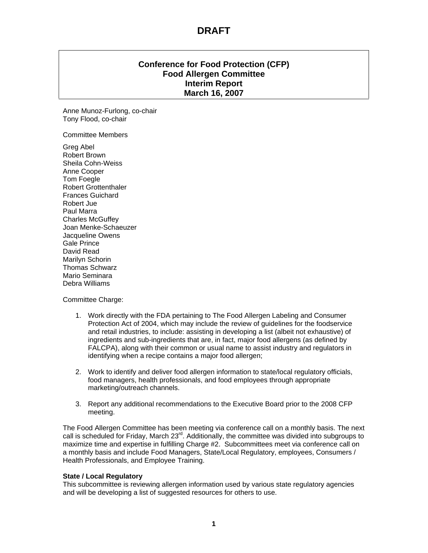## **DRAFT**

### **Conference for Food Protection (CFP) Food Allergen Committee Interim Report March 16, 2007**

Anne Munoz-Furlong, co-chair Tony Flood, co-chair

Committee Members

Greg Abel Robert Brown Sheila Cohn-Weiss Anne Cooper Tom Foegle Robert Grottenthaler Frances Guichard Robert Jue Paul Marra Charles McGuffey Joan Menke-Schaeuzer Jacqueline Owens Gale Prince David Read Marilyn Schorin Thomas Schwarz Mario Seminara Debra Williams

Committee Charge:

- 1. Work directly with the FDA pertaining to The Food Allergen Labeling and Consumer Protection Act of 2004, which may include the review of guidelines for the foodservice and retail industries, to include: assisting in developing a list (albeit not exhaustive) of ingredients and sub-ingredients that are, in fact, major food allergens (as defined by FALCPA), along with their common or usual name to assist industry and regulators in identifying when a recipe contains a major food allergen;
- 2. Work to identify and deliver food allergen information to state/local regulatory officials, food managers, health professionals, and food employees through appropriate marketing/outreach channels.
- 3. Report any additional recommendations to the Executive Board prior to the 2008 CFP meeting.

The Food Allergen Committee has been meeting via conference call on a monthly basis. The next call is scheduled for Friday, March 23<sup>rd</sup>. Additionally, the committee was divided into subgroups to maximize time and expertise in fulfilling Charge #2. Subcommittees meet via conference call on a monthly basis and include Food Managers, State/Local Regulatory, employees, Consumers / Health Professionals, and Employee Training.

#### **State / Local Regulatory**

This subcommittee is reviewing allergen information used by various state regulatory agencies and will be developing a list of suggested resources for others to use.